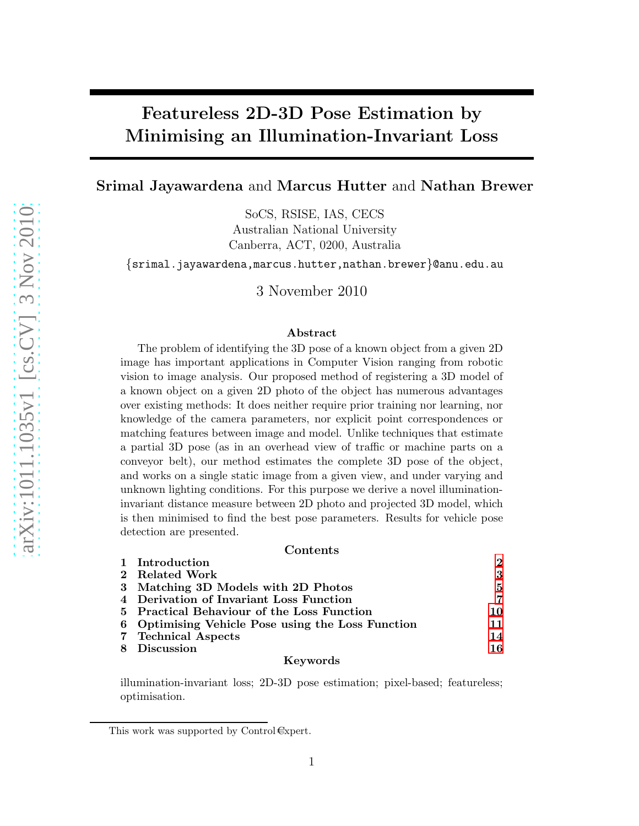# Featureless 2D-3D Pose Estimation by Minimising an Illumination-Invariant Loss

Srimal Jayawardena and Marcus Hutter and Nathan Brewer

SoCS, RSISE, IAS, CECS Australian National University Canberra, ACT, 0200, Australia

{srimal.jayawardena,marcus.hutter,nathan.brewer}@anu.edu.au

3 November 2010

#### Abstract

The problem of identifying the 3D pose of a known object from a given 2D image has important applications in Computer Vision ranging from robotic vision to image analysis. Our proposed method of registering a 3D model of a known object on a given 2D photo of the object has numerous advantages over existing methods: It does neither require prior training nor learning, nor knowledge of the camera parameters, nor explicit point correspondences or matching features between image and model. Unlike techniques that estimate a partial 3D pose (as in an overhead view of traffic or machine parts on a conveyor belt), our method estimates the complete 3D pose of the object, and works on a single static image from a given view, and under varying and unknown lighting conditions. For this purpose we derive a novel illuminationinvariant distance measure between 2D photo and projected 3D model, which is then minimised to find the best pose parameters. Results for vehicle pose detection are presented.

#### Contents

| 1 Introduction                                    | $\mathbf 2$ |
|---------------------------------------------------|-------------|
| 2 Related Work                                    | 3           |
| 3 Matching 3D Models with 2D Photos               | 5           |
| 4 Derivation of Invariant Loss Function           | 7           |
| 5 Practical Behaviour of the Loss Function        | 10.         |
| 6 Optimising Vehicle Pose using the Loss Function | 11          |
| 7 Technical Aspects                               | 14          |
| 8 Discussion                                      | 16          |
|                                                   |             |

#### Keywords

illumination-invariant loss; 2D-3D pose estimation; pixel-based; featureless; optimisation.

This work was supported by Control Expert.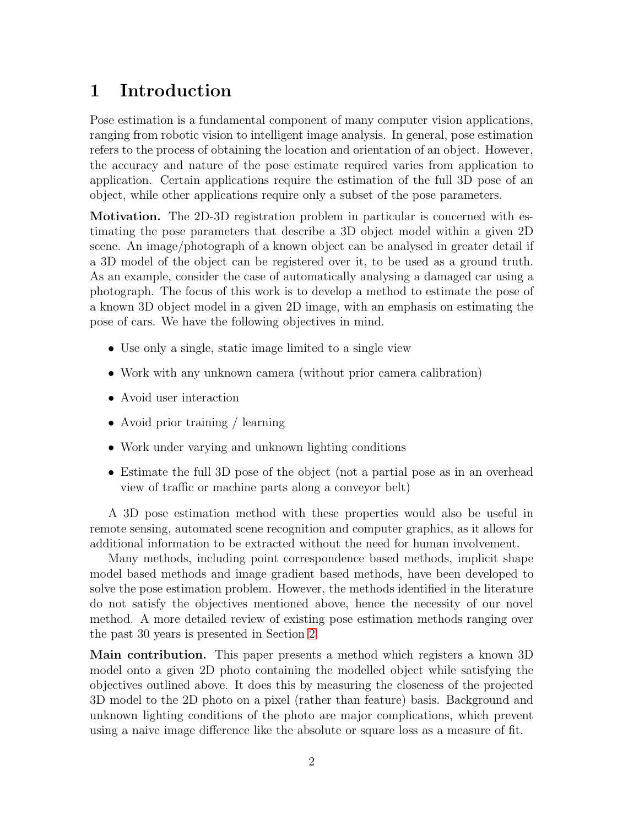## <span id="page-1-0"></span>1 Introduction

Pose estimation is a fundamental component of many computer vision applications, ranging from robotic vision to intelligent image analysis. In general, pose estimation refers to the process of obtaining the location and orientation of an object. However, the accuracy and nature of the pose estimate required varies from application to application. Certain applications require the estimation of the full 3D pose of an object, while other applications require only a subset of the pose parameters.

Motivation. The 2D-3D registration problem in particular is concerned with estimating the pose parameters that describe a 3D object model within a given 2D scene. An image/photograph of a known object can be analysed in greater detail if a 3D model of the object can be registered over it, to be used as a ground truth. As an example, consider the case of automatically analysing a damaged car using a photograph. The focus of this work is to develop a method to estimate the pose of a known 3D object model in a given 2D image, with an emphasis on estimating the pose of cars. We have the following objectives in mind.

- Use only a single, static image limited to a single view
- Work with any unknown camera (without prior camera calibration)
- Avoid user interaction
- Avoid prior training / learning
- Work under varying and unknown lighting conditions
- Estimate the full 3D pose of the object (not a partial pose as in an overhead view of traffic or machine parts along a conveyor belt)

A 3D pose estimation method with these properties would also be useful in remote sensing, automated scene recognition and computer graphics, as it allows for additional information to be extracted without the need for human involvement.

Many methods, including point correspondence based methods, implicit shape model based methods and image gradient based methods, have been developed to solve the pose estimation problem. However, the methods identified in the literature do not satisfy the objectives mentioned above, hence the necessity of our novel method. A more detailed review of existing pose estimation methods ranging over the past 30 years is presented in Section [2.](#page-2-0)

Main contribution. This paper presents a method which registers a known 3D model onto a given 2D photo containing the modelled object while satisfying the objectives outlined above. It does this by measuring the closeness of the projected 3D model to the 2D photo on a pixel (rather than feature) basis. Background and unknown lighting conditions of the photo are major complications, which prevent using a naive image difference like the absolute or square loss as a measure of fit.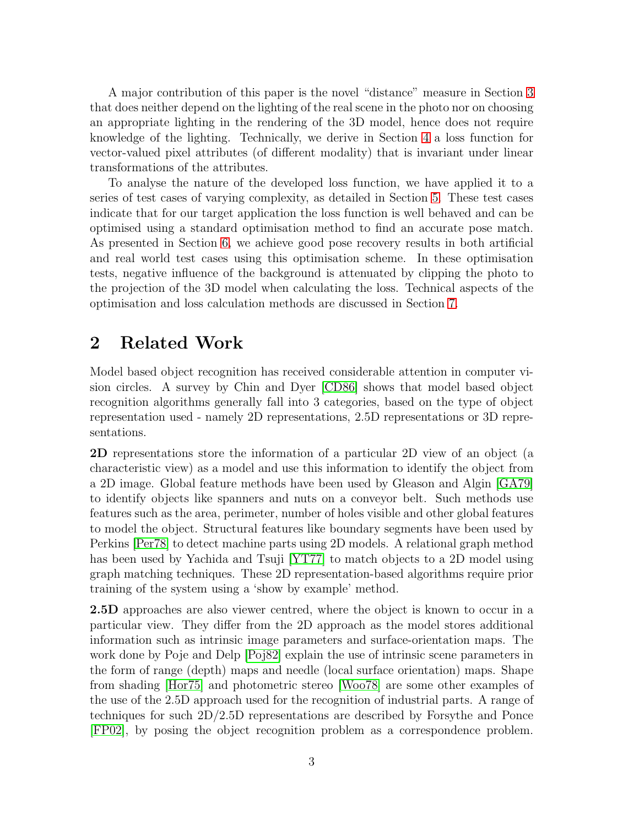A major contribution of this paper is the novel "distance" measure in Section [3](#page-4-0) that does neither depend on the lighting of the real scene in the photo nor on choosing an appropriate lighting in the rendering of the 3D model, hence does not require knowledge of the lighting. Technically, we derive in Section [4](#page-6-0) a loss function for vector-valued pixel attributes (of different modality) that is invariant under linear transformations of the attributes.

To analyse the nature of the developed loss function, we have applied it to a series of test cases of varying complexity, as detailed in Section [5.](#page-9-0) These test cases indicate that for our target application the loss function is well behaved and can be optimised using a standard optimisation method to find an accurate pose match. As presented in Section [6,](#page-10-0) we achieve good pose recovery results in both artificial and real world test cases using this optimisation scheme. In these optimisation tests, negative influence of the background is attenuated by clipping the photo to the projection of the 3D model when calculating the loss. Technical aspects of the optimisation and loss calculation methods are discussed in Section [7.](#page-13-0)

## <span id="page-2-0"></span>2 Related Work

Model based object recognition has received considerable attention in computer vision circles. A survey by Chin and Dyer [\[CD86\]](#page-16-0) shows that model based object recognition algorithms generally fall into 3 categories, based on the type of object representation used - namely 2D representations, 2.5D representations or 3D representations.

2D representations store the information of a particular 2D view of an object (a characteristic view) as a model and use this information to identify the object from a 2D image. Global feature methods have been used by Gleason and Algin [\[GA79\]](#page-16-1) to identify objects like spanners and nuts on a conveyor belt. Such methods use features such as the area, perimeter, number of holes visible and other global features to model the object. Structural features like boundary segments have been used by Perkins [\[Per78\]](#page-17-0) to detect machine parts using 2D models. A relational graph method has been used by Yachida and Tsuji [\[YT77\]](#page-17-1) to match objects to a 2D model using graph matching techniques. These 2D representation-based algorithms require prior training of the system using a 'show by example' method.

2.5D approaches are also viewer centred, where the object is known to occur in a particular view. They differ from the 2D approach as the model stores additional information such as intrinsic image parameters and surface-orientation maps. The work done by Poje and Delp [\[Poj82\]](#page-17-2) explain the use of intrinsic scene parameters in the form of range (depth) maps and needle (local surface orientation) maps. Shape from shading [\[Hor75\]](#page-16-2) and photometric stereo [\[Woo78\]](#page-17-3) are some other examples of the use of the 2.5D approach used for the recognition of industrial parts. A range of techniques for such 2D/2.5D representations are described by Forsythe and Ponce [\[FP02\]](#page-16-3), by posing the object recognition problem as a correspondence problem.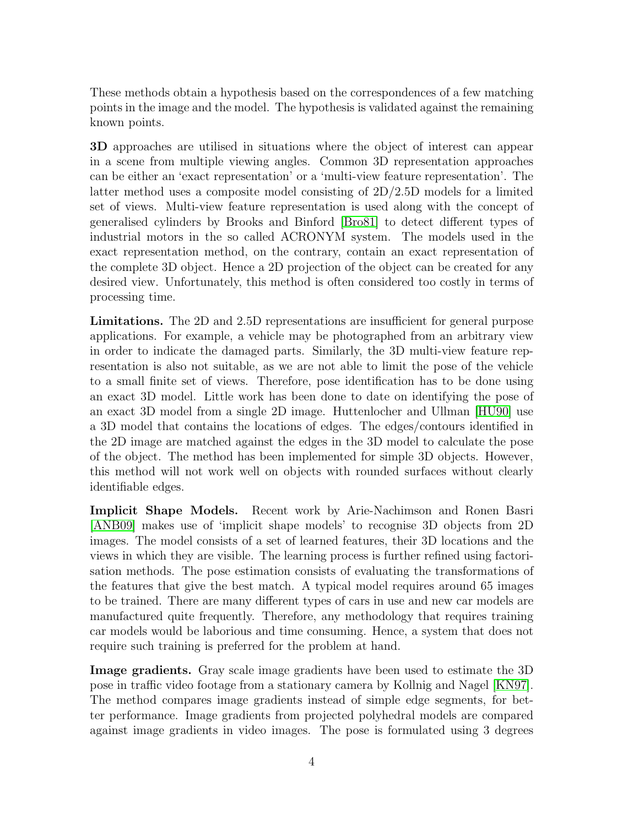These methods obtain a hypothesis based on the correspondences of a few matching points in the image and the model. The hypothesis is validated against the remaining known points.

3D approaches are utilised in situations where the object of interest can appear in a scene from multiple viewing angles. Common 3D representation approaches can be either an 'exact representation' or a 'multi-view feature representation'. The latter method uses a composite model consisting of 2D/2.5D models for a limited set of views. Multi-view feature representation is used along with the concept of generalised cylinders by Brooks and Binford [\[Bro81\]](#page-16-4) to detect different types of industrial motors in the so called ACRONYM system. The models used in the exact representation method, on the contrary, contain an exact representation of the complete 3D object. Hence a 2D projection of the object can be created for any desired view. Unfortunately, this method is often considered too costly in terms of processing time.

Limitations. The 2D and 2.5D representations are insufficient for general purpose applications. For example, a vehicle may be photographed from an arbitrary view in order to indicate the damaged parts. Similarly, the 3D multi-view feature representation is also not suitable, as we are not able to limit the pose of the vehicle to a small finite set of views. Therefore, pose identification has to be done using an exact 3D model. Little work has been done to date on identifying the pose of an exact 3D model from a single 2D image. Huttenlocher and Ullman [\[HU90\]](#page-16-5) use a 3D model that contains the locations of edges. The edges/contours identified in the 2D image are matched against the edges in the 3D model to calculate the pose of the object. The method has been implemented for simple 3D objects. However, this method will not work well on objects with rounded surfaces without clearly identifiable edges.

Implicit Shape Models. Recent work by Arie-Nachimson and Ronen Basri [\[ANB09\]](#page-16-6) makes use of 'implicit shape models' to recognise 3D objects from 2D images. The model consists of a set of learned features, their 3D locations and the views in which they are visible. The learning process is further refined using factorisation methods. The pose estimation consists of evaluating the transformations of the features that give the best match. A typical model requires around 65 images to be trained. There are many different types of cars in use and new car models are manufactured quite frequently. Therefore, any methodology that requires training car models would be laborious and time consuming. Hence, a system that does not require such training is preferred for the problem at hand.

Image gradients. Gray scale image gradients have been used to estimate the 3D pose in traffic video footage from a stationary camera by Kollnig and Nagel [\[KN97\]](#page-16-7). The method compares image gradients instead of simple edge segments, for better performance. Image gradients from projected polyhedral models are compared against image gradients in video images. The pose is formulated using 3 degrees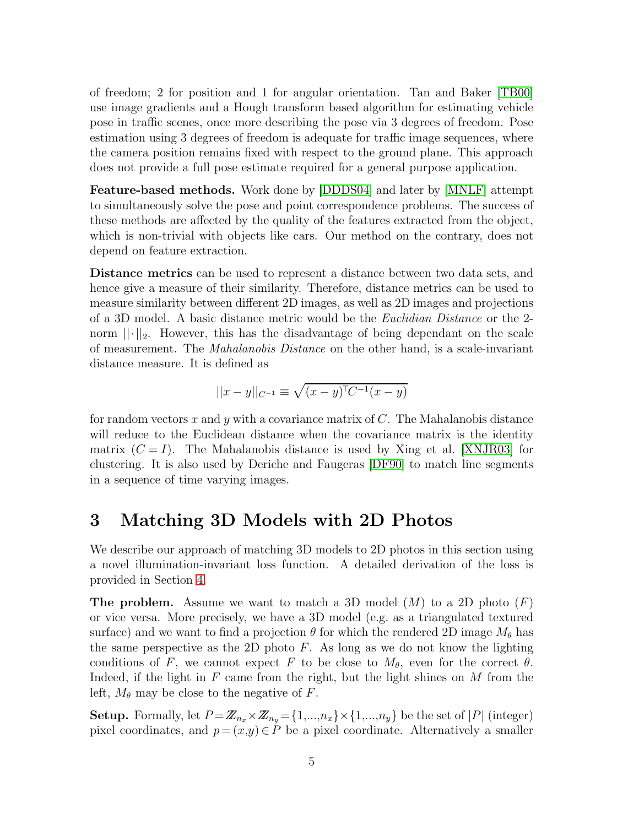of freedom; 2 for position and 1 for angular orientation. Tan and Baker [\[TB00\]](#page-17-4) use image gradients and a Hough transform based algorithm for estimating vehicle pose in traffic scenes, once more describing the pose via 3 degrees of freedom. Pose estimation using 3 degrees of freedom is adequate for traffic image sequences, where the camera position remains fixed with respect to the ground plane. This approach does not provide a full pose estimate required for a general purpose application.

Feature-based methods. Work done by [\[DDDS04\]](#page-16-8) and later by [\[MNLF\]](#page-17-5) attempt to simultaneously solve the pose and point correspondence problems. The success of these methods are affected by the quality of the features extracted from the object, which is non-trivial with objects like cars. Our method on the contrary, does not depend on feature extraction.

Distance metrics can be used to represent a distance between two data sets, and hence give a measure of their similarity. Therefore, distance metrics can be used to measure similarity between different 2D images, as well as 2D images and projections of a 3D model. A basic distance metric would be the Euclidian Distance or the 2 norm  $\lVert \cdot \rVert_2$ . However, this has the disadvantage of being dependant on the scale of measurement. The Mahalanobis Distance on the other hand, is a scale-invariant distance measure. It is defined as

$$
||x - y||_{C^{-1}} \equiv \sqrt{(x - y)^{T}C^{-1}(x - y)}
$$

for random vectors x and y with a covariance matrix of  $C$ . The Mahalanobis distance will reduce to the Euclidean distance when the covariance matrix is the identity matrix  $(C = I)$ . The Mahalanobis distance is used by Xing et al. [\[XNJR03\]](#page-17-6) for clustering. It is also used by Deriche and Faugeras [\[DF90\]](#page-16-9) to match line segments in a sequence of time varying images.

### <span id="page-4-0"></span>3 Matching 3D Models with 2D Photos

We describe our approach of matching 3D models to 2D photos in this section using a novel illumination-invariant loss function. A detailed derivation of the loss is provided in Section [4.](#page-6-0)

**The problem.** Assume we want to match a 3D model  $(M)$  to a 2D photo  $(F)$ or vice versa. More precisely, we have a 3D model (e.g. as a triangulated textured surface) and we want to find a projection  $\theta$  for which the rendered 2D image  $M_{\theta}$  has the same perspective as the 2D photo  $F$ . As long as we do not know the lighting conditions of F, we cannot expect F to be close to  $M_{\theta}$ , even for the correct  $\theta$ . Indeed, if the light in F came from the right, but the light shines on  $M$  from the left,  $M_{\theta}$  may be close to the negative of F.

**Setup.** Formally, let  $P = \mathbb{Z}_{n_x} \times \mathbb{Z}_{n_y} = \{1,...,n_x\} \times \{1,...,n_y\}$  be the set of |P| (integer) pixel coordinates, and  $p = (x,y) \in P$  be a pixel coordinate. Alternatively a smaller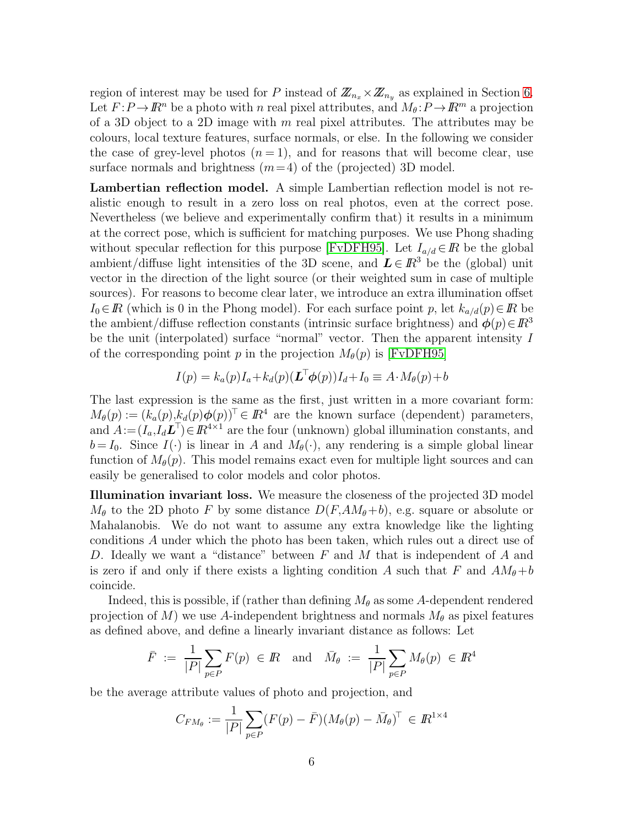region of interest may be used for P instead of  $\mathbb{Z}_{n_x}\times\mathbb{Z}_{n_y}$  as explained in Section [6.](#page-10-0) Let  $F: P \to \mathbb{R}^n$  be a photo with n real pixel attributes, and  $M_\theta: P \to \mathbb{R}^m$  a projection of a 3D object to a 2D image with  $m$  real pixel attributes. The attributes may be colours, local texture features, surface normals, or else. In the following we consider the case of grey-level photos  $(n = 1)$ , and for reasons that will become clear, use surface normals and brightness  $(m=4)$  of the (projected) 3D model.

Lambertian reflection model. A simple Lambertian reflection model is not realistic enough to result in a zero loss on real photos, even at the correct pose. Nevertheless (we believe and experimentally confirm that) it results in a minimum at the correct pose, which is sufficient for matching purposes. We use Phong shading without specular reflection for this purpose [\[FvDFH95\]](#page-16-10). Let  $I_{a/d} \in \mathbb{R}$  be the global ambient/diffuse light intensities of the 3D scene, and  $\mathbf{L} \in \mathbb{R}^3$  be the (global) unit vector in the direction of the light source (or their weighted sum in case of multiple sources). For reasons to become clear later, we introduce an extra illumination offset  $I_0 \in \mathbb{R}$  (which is 0 in the Phong model). For each surface point p, let  $k_{a/d}(p) \in \mathbb{R}$  be the ambient/diffuse reflection constants (intrinsic surface brightness) and  $\phi(p) \in \mathbb{R}^3$ be the unit (interpolated) surface "normal" vector. Then the apparent intensity I of the corresponding point p in the projection  $M_{\theta}(p)$  is [\[FvDFH95\]](#page-16-10)

$$
I(p) = k_a(p)I_a + k_d(p)(\mathbf{L}^\top \boldsymbol{\phi}(p))I_d + I_0 \equiv A \cdot M_\theta(p) + b
$$

The last expression is the same as the first, just written in a more covariant form:  $M_{\theta}(p) := (k_a(p), k_d(p)\boldsymbol{\phi}(p))^{\top} \in \mathbb{R}^4$  are the known surface (dependent) parameters, and  $A := (I_a, I_d \mathcal{L}^\top) \in I\!\!R^{4\times 1}$  are the four (unknown) global illumination constants, and  $b = I_0$ . Since  $I(\cdot)$  is linear in A and  $M_\theta(\cdot)$ , any rendering is a simple global linear function of  $M_{\theta}(p)$ . This model remains exact even for multiple light sources and can easily be generalised to color models and color photos.

Illumination invariant loss. We measure the closeness of the projected 3D model  $M_{\theta}$  to the 2D photo F by some distance  $D(F, AM_{\theta}+b)$ , e.g. square or absolute or Mahalanobis. We do not want to assume any extra knowledge like the lighting conditions A under which the photo has been taken, which rules out a direct use of D. Ideally we want a "distance" between F and M that is independent of A and is zero if and only if there exists a lighting condition A such that F and  $AM_{\theta}+b$ coincide.

Indeed, this is possible, if (rather than defining  $M_{\theta}$  as some A-dependent rendered projection of M) we use A-independent brightness and normals  $M_{\theta}$  as pixel features as defined above, and define a linearly invariant distance as follows: Let

$$
\bar{F} := \frac{1}{|P|} \sum_{p \in P} F(p) \in I\!\!R
$$
 and  $\bar{M}_{\theta} := \frac{1}{|P|} \sum_{p \in P} M_{\theta}(p) \in I\!\!R^4$ 

be the average attribute values of photo and projection, and

$$
C_{FM_{\theta}} := \frac{1}{|P|} \sum_{p \in P} (F(p) - \bar{F}) (M_{\theta}(p) - \bar{M}_{\theta})^{\top} \in I\!\!R^{1 \times 4}
$$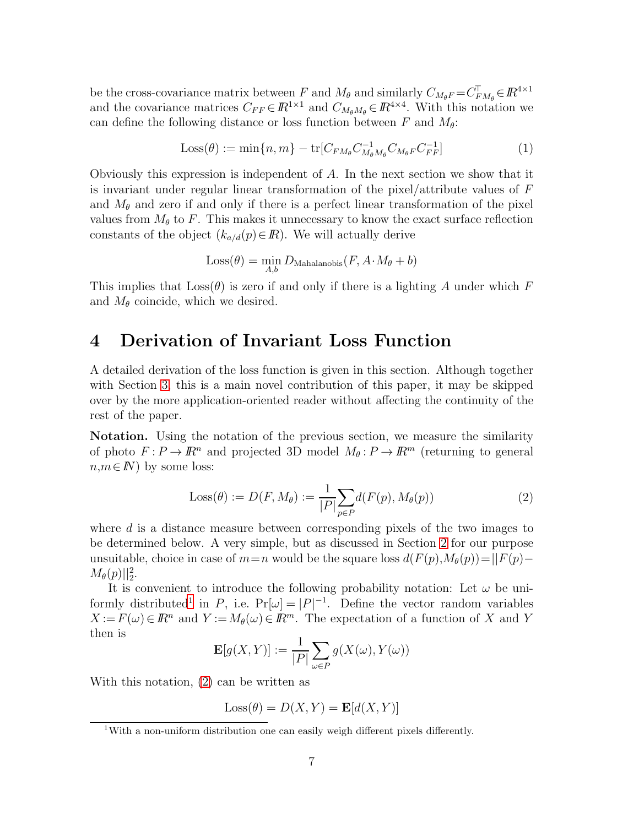be the cross-covariance matrix between F and  $M_{\theta}$  and similarly  $C_{M_{\theta}F} = C_F^{\top}$  $\bar{F}_{M_\theta} \in I\!\!R^{4 \times 1}$ and the covariance matrices  $C_{FF} \in \mathbb{R}^{1 \times 1}$  and  $C_{M_{\theta}M_{\theta}} \in \mathbb{R}^{4 \times 4}$ . With this notation we can define the following distance or loss function between F and  $M_{\theta}$ :

<span id="page-6-3"></span>
$$
Loss(\theta) := \min\{n, m\} - \text{tr}[C_{FM_{\theta}}C_{M_{\theta}}^{-1}C_{M_{\theta}F}C_{FF}^{-1}]
$$
(1)

Obviously this expression is independent of A. In the next section we show that it is invariant under regular linear transformation of the pixel/attribute values of F and  $M_{\theta}$  and zero if and only if there is a perfect linear transformation of the pixel values from  $M_{\theta}$  to F. This makes it unnecessary to know the exact surface reflection constants of the object  $(k_{a/d}(p) \in \mathbb{R})$ . We will actually derive

$$
Loss(\theta) = \min_{A,b} D_{\text{Mahalanobis}}(F, A \cdot M_{\theta} + b)
$$

This implies that  $\text{Loss}(\theta)$  is zero if and only if there is a lighting A under which F and  $M_{\theta}$  coincide, which we desired.

### <span id="page-6-0"></span>4 Derivation of Invariant Loss Function

A detailed derivation of the loss function is given in this section. Although together with Section [3,](#page-4-0) this is a main novel contribution of this paper, it may be skipped over by the more application-oriented reader without affecting the continuity of the rest of the paper.

Notation. Using the notation of the previous section, we measure the similarity of photo  $F: P \to \mathbb{R}^n$  and projected 3D model  $M_\theta: P \to \mathbb{R}^m$  (returning to general  $n,m \in \mathbb{N}$  by some loss:

<span id="page-6-2"></span>
$$
\text{Loss}(\theta) := D(F, M_{\theta}) := \frac{1}{|P|} \sum_{p \in P} d(F(p), M_{\theta}(p)) \tag{2}
$$

where d is a distance measure between corresponding pixels of the two images to be determined below. A very simple, but as discussed in Section [2](#page-2-0) for our purpose unsuitable, choice in case of  $m=n$  would be the square loss  $d(F(p),M_{\theta}(p))=||F(p) M_{\theta}(p)$ ||2.

It is convenient to introduce the following probability notation: Let  $\omega$  be uni-formly distributed<sup>[1](#page-6-1)</sup> in P, i.e.  $Pr[\omega] = |P|^{-1}$ . Define the vector random variables  $X := F(\omega) \in \mathbb{R}^n$  and  $Y := M_\theta(\omega) \in \mathbb{R}^m$ . The expectation of a function of X and Y then is

$$
\mathbf{E}[g(X,Y)] := \frac{1}{|P|} \sum_{\omega \in P} g(X(\omega), Y(\omega))
$$

With this notation, [\(2\)](#page-6-2) can be written as

$$
Loss(\theta) = D(X, Y) = \mathbf{E}[d(X, Y)]
$$

<span id="page-6-1"></span><sup>&</sup>lt;sup>1</sup>With a non-uniform distribution one can easily weigh different pixels differently.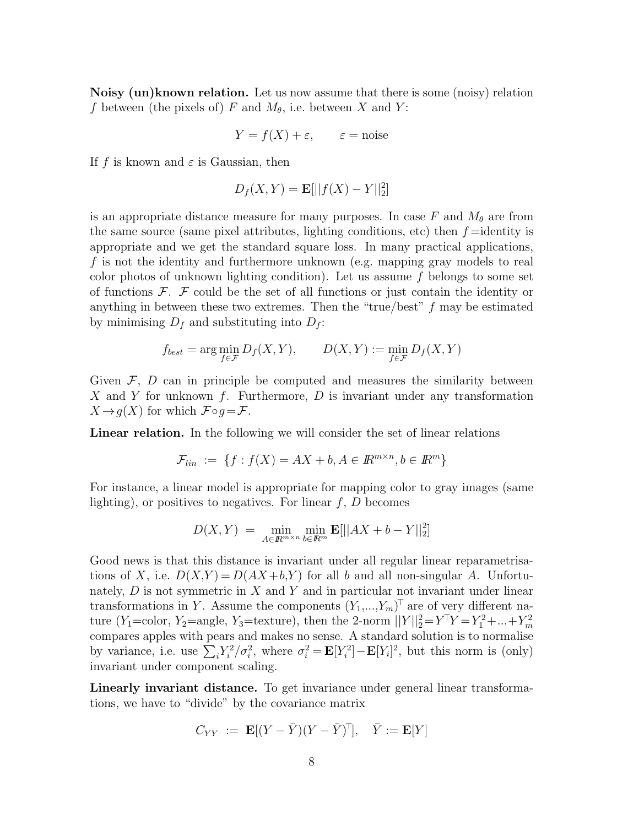Noisy (un)known relation. Let us now assume that there is some (noisy) relation f between (the pixels of) F and  $M_{\theta}$ , i.e. between X and Y:

$$
Y = f(X) + \varepsilon
$$
,  $\varepsilon$  = noise

If f is known and  $\varepsilon$  is Gaussian, then

$$
D_f(X, Y) = \mathbf{E}[||f(X) - Y||_2^2]
$$

is an appropriate distance measure for many purposes. In case F and  $M_{\theta}$  are from the same source (same pixel attributes, lighting conditions, etc) then  $f =$ identity is appropriate and we get the standard square loss. In many practical applications, f is not the identity and furthermore unknown (e.g. mapping gray models to real color photos of unknown lighting condition). Let us assume  $f$  belongs to some set of functions  $\mathcal{F}$ .  $\mathcal{F}$  could be the set of all functions or just contain the identity or anything in between these two extremes. Then the "true/best" f may be estimated by minimising  $D_f$  and substituting into  $D_f$ :

$$
f_{best} = \arg\min_{f \in \mathcal{F}} D_f(X, Y), \qquad D(X, Y) := \min_{f \in \mathcal{F}} D_f(X, Y)
$$

Given  $\mathcal{F}, D$  can in principle be computed and measures the similarity between X and Y for unknown  $f$ . Furthermore,  $D$  is invariant under any transformation  $X \rightarrow q(X)$  for which  $\mathcal{F} \circ q = \mathcal{F}$ .

Linear relation. In the following we will consider the set of linear relations

$$
\mathcal{F}_{lin} := \{ f : f(X) = AX + b, A \in \mathbb{R}^{m \times n}, b \in \mathbb{R}^m \}
$$

For instance, a linear model is appropriate for mapping color to gray images (same lighting), or positives to negatives. For linear  $f, D$  becomes

$$
D(X,Y)\ =\ \min_{A\in I\!\!R^{m\times n}}\min_{b\in I\!\!R^m}\mathbf{E}[||AX+b-Y||_2^2]
$$

Good news is that this distance is invariant under all regular linear reparametrisations of X, i.e.  $D(X,Y) = D(AX+b, Y)$  for all b and all non-singular A. Unfortunately,  $D$  is not symmetric in  $X$  and  $Y$  and in particular not invariant under linear transformations in Y. Assume the components  $(Y_1,...,Y_m)^\top$  are of very different nature (Y<sub>1</sub>=color, Y<sub>2</sub>=angle, Y<sub>3</sub>=texture), then the 2-norm  $||Y||_2^2 = Y^T Y = Y_1^2 + ... + Y_m^2$ m compares apples with pears and makes no sense. A standard solution is to normalise by variance, i.e. use  $\sum_i Y_i^2$  $\sigma_i^2/\sigma_i^2$ , where  $\sigma_i^2 = \mathbf{E}[Y_i^2]$  $\mathbb{E}[Y_i]^2$ , but this norm is (only) invariant under component scaling.

Linearly invariant distance. To get invariance under general linear transformations, we have to "divide" by the covariance matrix

$$
C_{YY} \ := \ \mathbf{E}[(Y-\bar{Y})(Y-\bar{Y})^{\top}], \quad \bar{Y} := \mathbf{E}[Y]
$$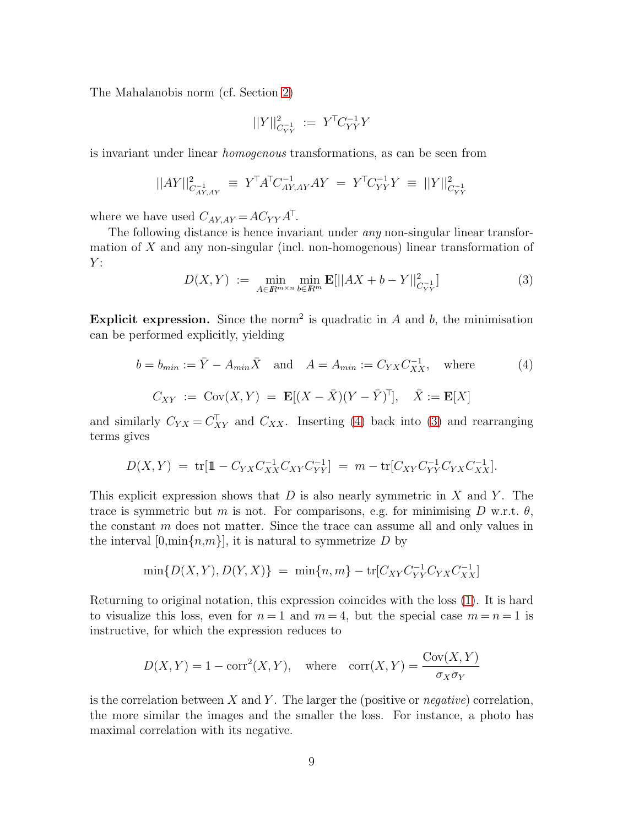The Mahalanobis norm (cf. Section [2\)](#page-2-0)

$$
||Y||^2_{C_{YY}^{-1}}\ :=\ Y^\top C_{YY}^{-1}Y
$$

is invariant under linear homogenous transformations, as can be seen from

$$
||AY||^2_{C_{AY,AY}^{-1}} \ \equiv \ Y^\top A^\top C_{AY,AY}^{-1} AY \ = \ Y^\top C_{YY}^{-1} Y \ \equiv \ ||Y||^2_{C_{YY}^{-1}}
$$

where we have used  $C_{AY,AY} = AC_{YY} A^{\top}$ .

The following distance is hence invariant under *any* non-singular linear transformation of X and any non-singular (incl. non-homogenous) linear transformation of  $Y:$ 

<span id="page-8-1"></span>
$$
D(X,Y) := \min_{A \in \mathbb{R}^{m \times n}} \min_{b \in \mathbb{R}^m} \mathbf{E}[||AX + b - Y||^2_{C_{YY}^{-1}}]
$$
(3)

Explicit expression. Since the norm<sup>2</sup> is quadratic in  $A$  and  $b$ , the minimisation can be performed explicitly, yielding

<span id="page-8-0"></span>
$$
b = b_{min} := \overline{Y} - A_{min}\overline{X} \text{ and } A = A_{min} := C_{YX}C_{XX}^{-1}, \text{ where } (4)
$$

$$
C_{XY} := \text{Cov}(X, Y) = \mathbf{E}[(X - \overline{X})(Y - \overline{Y})^{\top}], \quad \overline{X} := \mathbf{E}[X]
$$

and similarly  $C_{YX} = C_{XY}^{\top}$  and  $C_{XX}$ . Inserting [\(4\)](#page-8-0) back into [\(3\)](#page-8-1) and rearranging terms gives

$$
D(X,Y) = \text{tr}[\mathbb{1} - C_{YX}C_{XX}^{-1}C_{XY}C_{YY}^{-1}] = m - \text{tr}[C_{XY}C_{YY}^{-1}C_{YX}C_{XX}^{-1}].
$$

This explicit expression shows that  $D$  is also nearly symmetric in  $X$  and  $Y$ . The trace is symmetric but m is not. For comparisons, e.g. for minimising D w.r.t.  $\theta$ , the constant  $m$  does not matter. Since the trace can assume all and only values in the interval  $[0, \min\{n,m\}]$ , it is natural to symmetrize D by

$$
\min\{D(X,Y),D(Y,X)\}\ =\ \min\{n,m\}-\mathrm{tr}[C_{XY}C_{YY}^{-1}C_{YX}C_{XX}^{-1}]
$$

Returning to original notation, this expression coincides with the loss [\(1\)](#page-6-3). It is hard to visualize this loss, even for  $n = 1$  and  $m = 4$ , but the special case  $m = n = 1$  is instructive, for which the expression reduces to

$$
D(X,Y) = 1 - \text{corr}^2(X,Y), \quad \text{where} \quad \text{corr}(X,Y) = \frac{\text{Cov}(X,Y)}{\sigma_X \sigma_Y}
$$

is the correlation between X and Y. The larger the (positive or *negative*) correlation, the more similar the images and the smaller the loss. For instance, a photo has maximal correlation with its negative.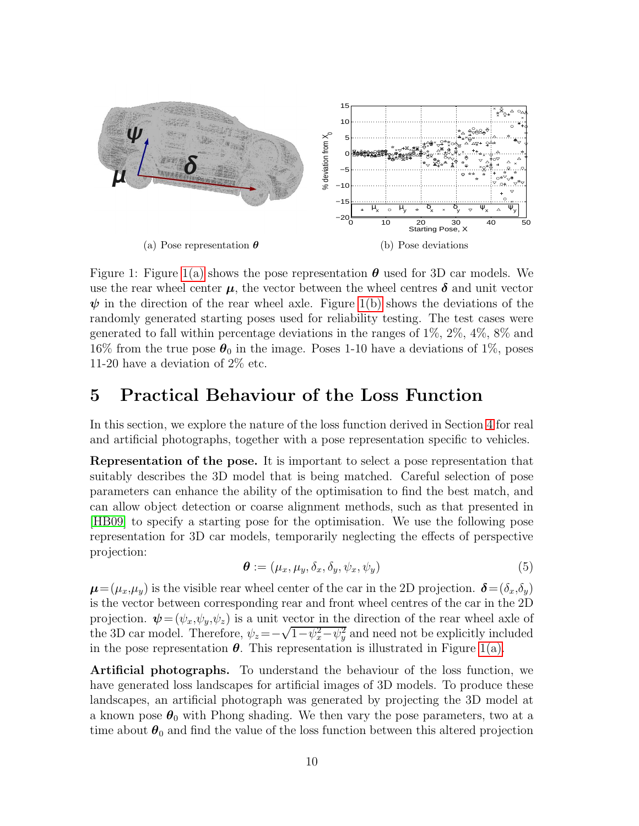<span id="page-9-1"></span>

<span id="page-9-2"></span>Figure 1: Figure [1\(a\)](#page-9-1) shows the pose representation  $\theta$  used for 3D car models. We use the rear wheel center  $\mu$ , the vector between the wheel centres  $\delta$  and unit vector  $\psi$  in the direction of the rear wheel axle. Figure [1\(b\)](#page-9-2) shows the deviations of the randomly generated starting poses used for reliability testing. The test cases were generated to fall within percentage deviations in the ranges of 1%, 2%, 4%, 8% and 16% from the true pose  $\theta_0$  in the image. Poses 1-10 have a deviations of 1%, poses 11-20 have a deviation of 2% etc.

#### <span id="page-9-0"></span>5 Practical Behaviour of the Loss Function

In this section, we explore the nature of the loss function derived in Section [4](#page-6-0) for real and artificial photographs, together with a pose representation specific to vehicles.

Representation of the pose. It is important to select a pose representation that suitably describes the 3D model that is being matched. Careful selection of pose parameters can enhance the ability of the optimisation to find the best match, and can allow object detection or coarse alignment methods, such as that presented in [\[HB09\]](#page-16-11) to specify a starting pose for the optimisation. We use the following pose representation for 3D car models, temporarily neglecting the effects of perspective projection:

<span id="page-9-3"></span>
$$
\boldsymbol{\theta} := (\mu_x, \mu_y, \delta_x, \delta_y, \psi_x, \psi_y) \tag{5}
$$

 $\mu=(\mu_x,\mu_y)$  is the visible rear wheel center of the car in the 2D projection.  $\delta=(\delta_x,\delta_y)$ is the vector between corresponding rear and front wheel centres of the car in the 2D projection.  $\psi = (\psi_x, \psi_y, \psi_z)$  is a unit vector in the direction of the rear wheel axle of the 3D car model. Therefore,  $\psi_z = -\sqrt{1-\psi_x^2-\psi_y^2}$  and need not be explicitly included in the pose representation  $\theta$ . This representation is illustrated in Figure [1\(a\).](#page-9-1)

Artificial photographs. To understand the behaviour of the loss function, we have generated loss landscapes for artificial images of 3D models. To produce these landscapes, an artificial photograph was generated by projecting the 3D model at a known pose  $\theta_0$  with Phong shading. We then vary the pose parameters, two at a time about  $\theta_0$  and find the value of the loss function between this altered projection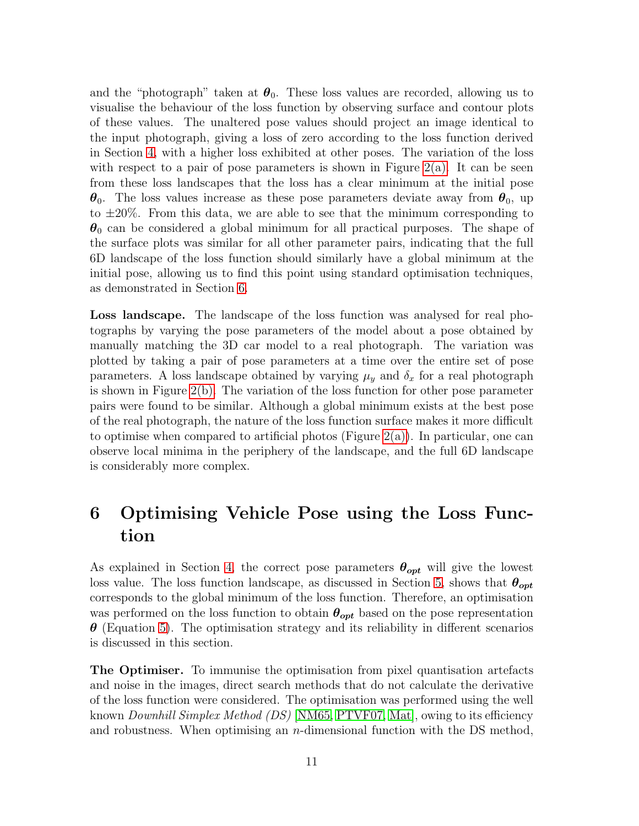and the "photograph" taken at  $\theta_0$ . These loss values are recorded, allowing us to visualise the behaviour of the loss function by observing surface and contour plots of these values. The unaltered pose values should project an image identical to the input photograph, giving a loss of zero according to the loss function derived in Section [4,](#page-6-0) with a higher loss exhibited at other poses. The variation of the loss with respect to a pair of pose parameters is shown in Figure  $2(a)$ . It can be seen from these loss landscapes that the loss has a clear minimum at the initial pose  $\theta_0$ . The loss values increase as these pose parameters deviate away from  $\theta_0$ , up to  $\pm 20\%$ . From this data, we are able to see that the minimum corresponding to  $\theta_0$  can be considered a global minimum for all practical purposes. The shape of the surface plots was similar for all other parameter pairs, indicating that the full 6D landscape of the loss function should similarly have a global minimum at the initial pose, allowing us to find this point using standard optimisation techniques, as demonstrated in Section [6.](#page-10-0)

Loss landscape. The landscape of the loss function was analysed for real photographs by varying the pose parameters of the model about a pose obtained by manually matching the 3D car model to a real photograph. The variation was plotted by taking a pair of pose parameters at a time over the entire set of pose parameters. A loss landscape obtained by varying  $\mu_y$  and  $\delta_x$  for a real photograph is shown in Figure [2\(b\).](#page-11-1) The variation of the loss function for other pose parameter pairs were found to be similar. Although a global minimum exists at the best pose of the real photograph, the nature of the loss function surface makes it more difficult to optimise when compared to artificial photos (Figure [2\(a\)\)](#page-11-0). In particular, one can observe local minima in the periphery of the landscape, and the full 6D landscape is considerably more complex.

# <span id="page-10-0"></span>6 Optimising Vehicle Pose using the Loss Function

As explained in Section [4,](#page-6-0) the correct pose parameters  $\theta_{opt}$  will give the lowest loss value. The loss function landscape, as discussed in Section [5,](#page-9-0) shows that  $\theta_{opt}$ corresponds to the global minimum of the loss function. Therefore, an optimisation was performed on the loss function to obtain  $\theta_{opt}$  based on the pose representation  $\theta$  (Equation [5\)](#page-9-3). The optimisation strategy and its reliability in different scenarios is discussed in this section.

The Optimiser. To immunise the optimisation from pixel quantisation artefacts and noise in the images, direct search methods that do not calculate the derivative of the loss function were considered. The optimisation was performed using the well known *Downhill Simplex Method (DS)* [\[NM65,](#page-17-7) [PTVF07,](#page-17-8) [Mat\]](#page-17-9), owing to its efficiency and robustness. When optimising an n-dimensional function with the DS method,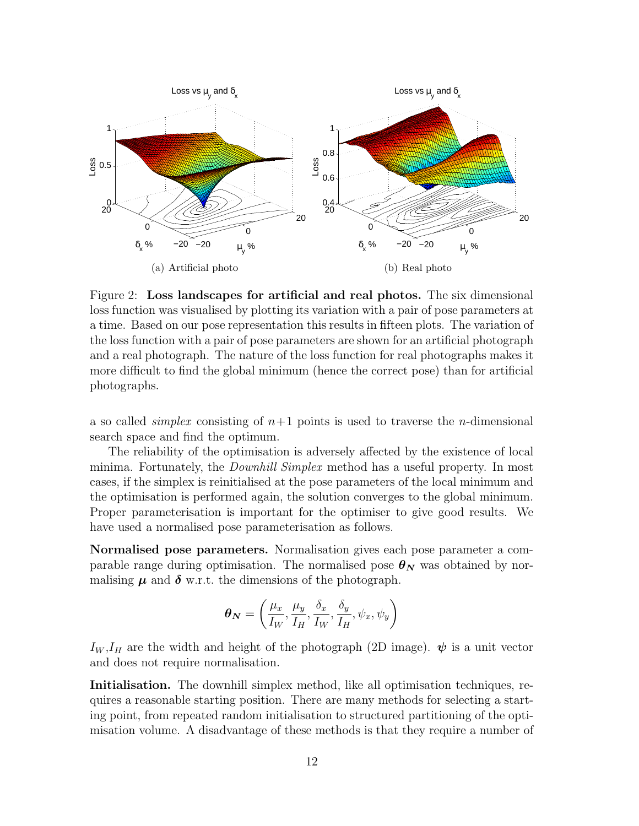

<span id="page-11-1"></span><span id="page-11-0"></span>Figure 2: Loss landscapes for artificial and real photos. The six dimensional loss function was visualised by plotting its variation with a pair of pose parameters at a time. Based on our pose representation this results in fifteen plots. The variation of the loss function with a pair of pose parameters are shown for an artificial photograph and a real photograph. The nature of the loss function for real photographs makes it more difficult to find the global minimum (hence the correct pose) than for artificial photographs.

a so called *simplex* consisting of  $n+1$  points is used to traverse the *n*-dimensional search space and find the optimum.

The reliability of the optimisation is adversely affected by the existence of local minima. Fortunately, the Downhill Simplex method has a useful property. In most cases, if the simplex is reinitialised at the pose parameters of the local minimum and the optimisation is performed again, the solution converges to the global minimum. Proper parameterisation is important for the optimiser to give good results. We have used a normalised pose parameterisation as follows.

Normalised pose parameters. Normalisation gives each pose parameter a comparable range during optimisation. The normalised pose  $\theta_N$  was obtained by normalising  $\mu$  and  $\delta$  w.r.t. the dimensions of the photograph.

$$
\boldsymbol{\theta_N} = \left(\frac{\mu_x}{I_W}, \frac{\mu_y}{I_H}, \frac{\delta_x}{I_W}, \frac{\delta_y}{I_H}, \psi_x, \psi_y\right)
$$

 $I_W, I_H$  are the width and height of the photograph (2D image).  $\psi$  is a unit vector and does not require normalisation.

Initialisation. The downhill simplex method, like all optimisation techniques, requires a reasonable starting position. There are many methods for selecting a starting point, from repeated random initialisation to structured partitioning of the optimisation volume. A disadvantage of these methods is that they require a number of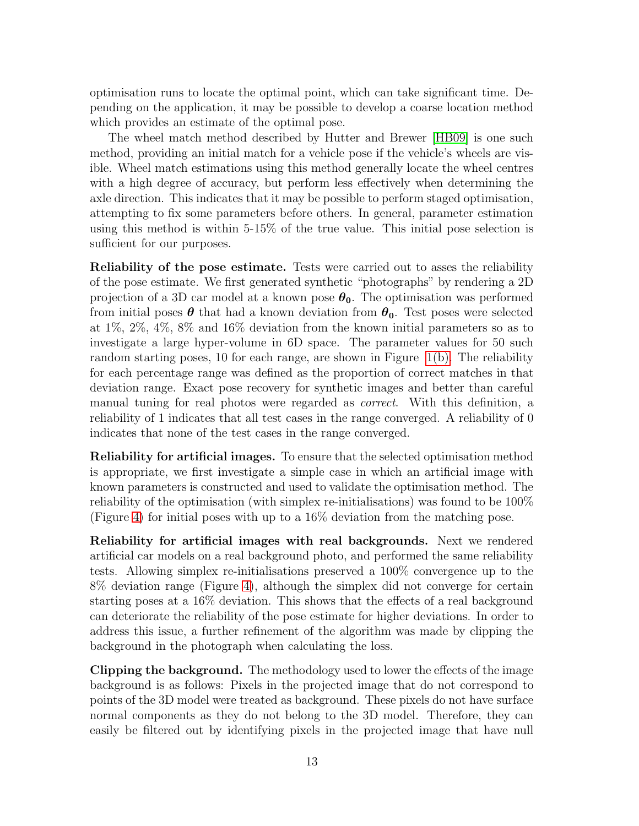optimisation runs to locate the optimal point, which can take significant time. Depending on the application, it may be possible to develop a coarse location method which provides an estimate of the optimal pose.

The wheel match method described by Hutter and Brewer [\[HB09\]](#page-16-11) is one such method, providing an initial match for a vehicle pose if the vehicle's wheels are visible. Wheel match estimations using this method generally locate the wheel centres with a high degree of accuracy, but perform less effectively when determining the axle direction. This indicates that it may be possible to perform staged optimisation, attempting to fix some parameters before others. In general, parameter estimation using this method is within 5-15% of the true value. This initial pose selection is sufficient for our purposes.

Reliability of the pose estimate. Tests were carried out to asses the reliability of the pose estimate. We first generated synthetic "photographs" by rendering a 2D projection of a 3D car model at a known pose  $\theta_0$ . The optimisation was performed from initial poses  $\theta$  that had a known deviation from  $\theta_0$ . Test poses were selected at 1%, 2%, 4%, 8% and 16% deviation from the known initial parameters so as to investigate a large hyper-volume in 6D space. The parameter values for 50 such random starting poses, 10 for each range, are shown in Figure [1\(b\).](#page-9-2) The reliability for each percentage range was defined as the proportion of correct matches in that deviation range. Exact pose recovery for synthetic images and better than careful manual tuning for real photos were regarded as correct. With this definition, a reliability of 1 indicates that all test cases in the range converged. A reliability of 0 indicates that none of the test cases in the range converged.

Reliability for artificial images. To ensure that the selected optimisation method is appropriate, we first investigate a simple case in which an artificial image with known parameters is constructed and used to validate the optimisation method. The reliability of the optimisation (with simplex re-initialisations) was found to be 100% (Figure [4\)](#page-14-0) for initial poses with up to a 16% deviation from the matching pose.

Reliability for artificial images with real backgrounds. Next we rendered artificial car models on a real background photo, and performed the same reliability tests. Allowing simplex re-initialisations preserved a 100% convergence up to the 8% deviation range (Figure [4\)](#page-14-0), although the simplex did not converge for certain starting poses at a 16% deviation. This shows that the effects of a real background can deteriorate the reliability of the pose estimate for higher deviations. In order to address this issue, a further refinement of the algorithm was made by clipping the background in the photograph when calculating the loss.

Clipping the background. The methodology used to lower the effects of the image background is as follows: Pixels in the projected image that do not correspond to points of the 3D model were treated as background. These pixels do not have surface normal components as they do not belong to the 3D model. Therefore, they can easily be filtered out by identifying pixels in the projected image that have null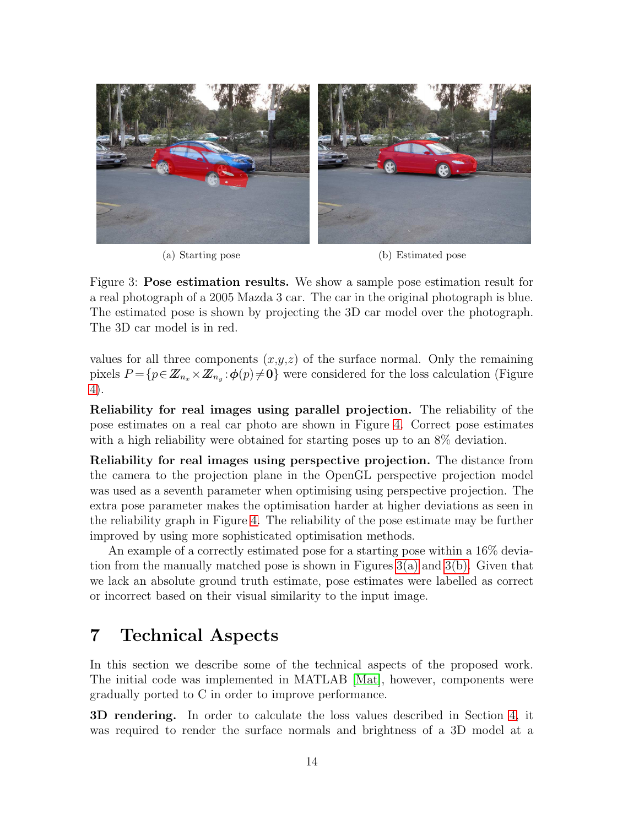<span id="page-13-1"></span>

<span id="page-13-2"></span>(a) Starting pose (b) Estimated pose

Figure 3: Pose estimation results. We show a sample pose estimation result for a real photograph of a 2005 Mazda 3 car. The car in the original photograph is blue. The estimated pose is shown by projecting the 3D car model over the photograph. The 3D car model is in red.

values for all three components  $(x,y,z)$  of the surface normal. Only the remaining pixels  $P = \{p \in \mathbb{Z}_{n_x} \times \mathbb{Z}_{n_y} : \phi(p) \neq \mathbf{0}\}\$  were considered for the loss calculation (Figure [4\)](#page-14-0).

Reliability for real images using parallel projection. The reliability of the pose estimates on a real car photo are shown in Figure [4.](#page-14-0) Correct pose estimates with a high reliability were obtained for starting poses up to an  $8\%$  deviation.

Reliability for real images using perspective projection. The distance from the camera to the projection plane in the OpenGL perspective projection model was used as a seventh parameter when optimising using perspective projection. The extra pose parameter makes the optimisation harder at higher deviations as seen in the reliability graph in Figure [4.](#page-14-0) The reliability of the pose estimate may be further improved by using more sophisticated optimisation methods.

An example of a correctly estimated pose for a starting pose within a 16% deviation from the manually matched pose is shown in Figures [3\(a\)](#page-13-1) and [3\(b\).](#page-13-2) Given that we lack an absolute ground truth estimate, pose estimates were labelled as correct or incorrect based on their visual similarity to the input image.

### <span id="page-13-0"></span>7 Technical Aspects

In this section we describe some of the technical aspects of the proposed work. The initial code was implemented in MATLAB [\[Mat\]](#page-17-9), however, components were gradually ported to C in order to improve performance.

3D rendering. In order to calculate the loss values described in Section [4,](#page-6-0) it was required to render the surface normals and brightness of a 3D model at a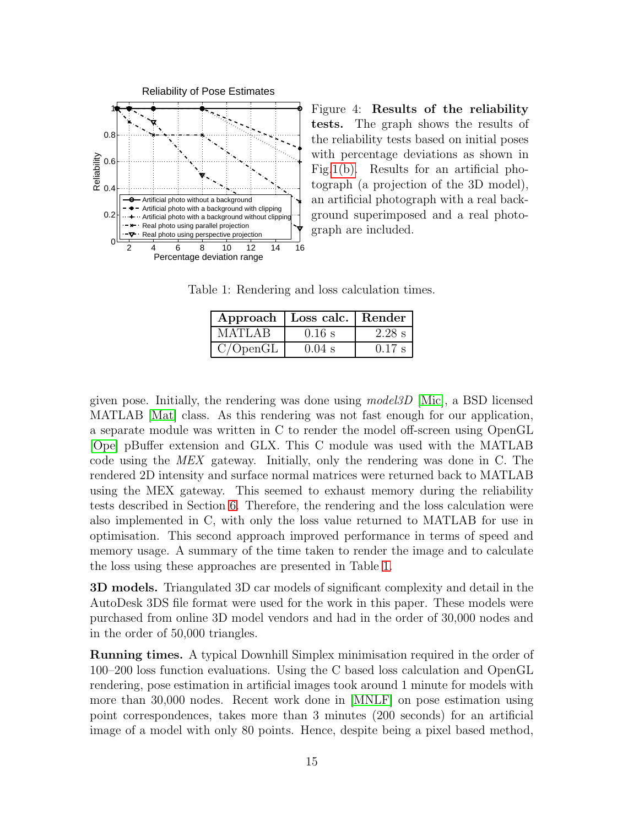

<span id="page-14-0"></span>Figure 4: Results of the reliability tests. The graph shows the results of the reliability tests based on initial poses with percentage deviations as shown in Fig[.1\(b\).](#page-9-2) Results for an artificial photograph (a projection of the 3D model), an artificial photograph with a real background superimposed and a real photograph are included.

Table 1: Rendering and loss calculation times.

<span id="page-14-1"></span>

|          | Approach   Loss calc.   Render |          |
|----------|--------------------------------|----------|
| M ATLA B | $0.16$ s                       | $2.28$ s |
| C/OpenGL | $0.04$ s                       | $0.17$ s |

given pose. Initially, the rendering was done using model3D [\[Mic\]](#page-17-10), a BSD licensed MATLAB [\[Mat\]](#page-17-9) class. As this rendering was not fast enough for our application, a separate module was written in C to render the model off-screen using OpenGL [\[Ope\]](#page-17-11) pBuffer extension and GLX. This C module was used with the MATLAB code using the MEX gateway. Initially, only the rendering was done in C. The rendered 2D intensity and surface normal matrices were returned back to MATLAB using the MEX gateway. This seemed to exhaust memory during the reliability tests described in Section [6.](#page-10-0) Therefore, the rendering and the loss calculation were also implemented in C, with only the loss value returned to MATLAB for use in optimisation. This second approach improved performance in terms of speed and memory usage. A summary of the time taken to render the image and to calculate the loss using these approaches are presented in Table [1.](#page-14-1)

3D models. Triangulated 3D car models of significant complexity and detail in the AutoDesk 3DS file format were used for the work in this paper. These models were purchased from online 3D model vendors and had in the order of 30,000 nodes and in the order of 50,000 triangles.

Running times. A typical Downhill Simplex minimisation required in the order of 100–200 loss function evaluations. Using the C based loss calculation and OpenGL rendering, pose estimation in artificial images took around 1 minute for models with more than 30,000 nodes. Recent work done in [\[MNLF\]](#page-17-5) on pose estimation using point correspondences, takes more than 3 minutes (200 seconds) for an artificial image of a model with only 80 points. Hence, despite being a pixel based method,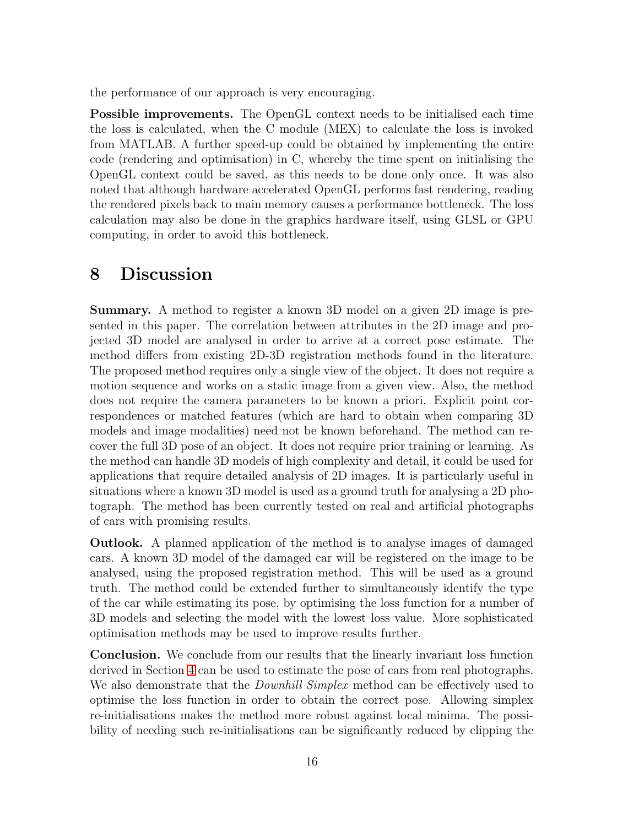the performance of our approach is very encouraging.

Possible improvements. The OpenGL context needs to be initialised each time the loss is calculated, when the C module (MEX) to calculate the loss is invoked from MATLAB. A further speed-up could be obtained by implementing the entire code (rendering and optimisation) in C, whereby the time spent on initialising the OpenGL context could be saved, as this needs to be done only once. It was also noted that although hardware accelerated OpenGL performs fast rendering, reading the rendered pixels back to main memory causes a performance bottleneck. The loss calculation may also be done in the graphics hardware itself, using GLSL or GPU computing, in order to avoid this bottleneck.

#### <span id="page-15-0"></span>8 Discussion

Summary. A method to register a known 3D model on a given 2D image is presented in this paper. The correlation between attributes in the 2D image and projected 3D model are analysed in order to arrive at a correct pose estimate. The method differs from existing 2D-3D registration methods found in the literature. The proposed method requires only a single view of the object. It does not require a motion sequence and works on a static image from a given view. Also, the method does not require the camera parameters to be known a priori. Explicit point correspondences or matched features (which are hard to obtain when comparing 3D models and image modalities) need not be known beforehand. The method can recover the full 3D pose of an object. It does not require prior training or learning. As the method can handle 3D models of high complexity and detail, it could be used for applications that require detailed analysis of 2D images. It is particularly useful in situations where a known 3D model is used as a ground truth for analysing a 2D photograph. The method has been currently tested on real and artificial photographs of cars with promising results.

Outlook. A planned application of the method is to analyse images of damaged cars. A known 3D model of the damaged car will be registered on the image to be analysed, using the proposed registration method. This will be used as a ground truth. The method could be extended further to simultaneously identify the type of the car while estimating its pose, by optimising the loss function for a number of 3D models and selecting the model with the lowest loss value. More sophisticated optimisation methods may be used to improve results further.

Conclusion. We conclude from our results that the linearly invariant loss function derived in Section [4](#page-6-0) can be used to estimate the pose of cars from real photographs. We also demonstrate that the *Downhill Simplex* method can be effectively used to optimise the loss function in order to obtain the correct pose. Allowing simplex re-initialisations makes the method more robust against local minima. The possibility of needing such re-initialisations can be significantly reduced by clipping the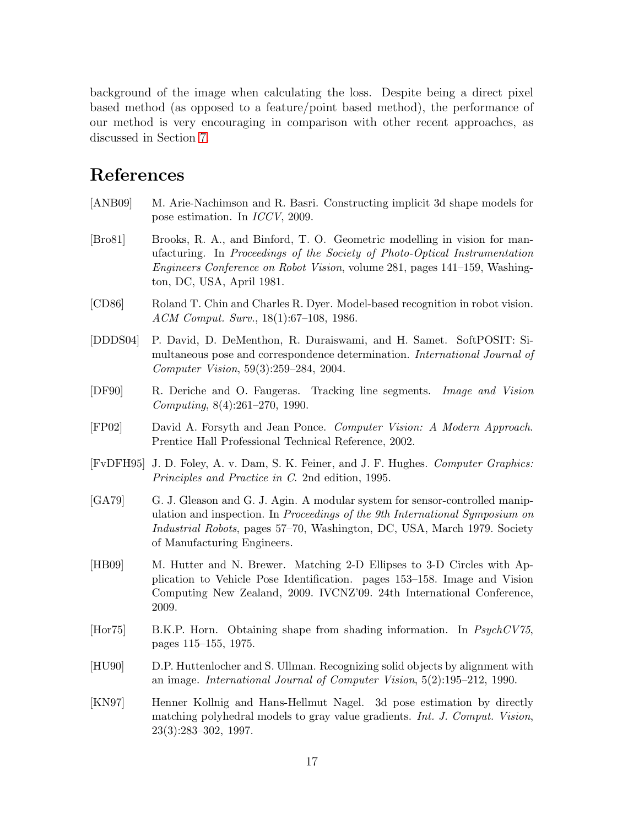background of the image when calculating the loss. Despite being a direct pixel based method (as opposed to a feature/point based method), the performance of our method is very encouraging in comparison with other recent approaches, as discussed in Section [7.](#page-13-0)

### References

- <span id="page-16-6"></span>[ANB09] M. Arie-Nachimson and R. Basri. Constructing implicit 3d shape models for pose estimation. In *ICCV*, 2009.
- <span id="page-16-4"></span>[Bro81] Brooks, R. A., and Binford, T. O. Geometric modelling in vision for manufacturing. In *Proceedings of the Society of Photo-Optical Instrumentation Engineers Conference on Robot Vision*, volume 281, pages 141–159, Washington, DC, USA, April 1981.
- <span id="page-16-0"></span>[CD86] Roland T. Chin and Charles R. Dyer. Model-based recognition in robot vision. *ACM Comput. Surv.*, 18(1):67–108, 1986.
- <span id="page-16-8"></span>[DDDS04] P. David, D. DeMenthon, R. Duraiswami, and H. Samet. SoftPOSIT: Simultaneous pose and correspondence determination. *International Journal of Computer Vision*, 59(3):259–284, 2004.
- <span id="page-16-9"></span>[DF90] R. Deriche and O. Faugeras. Tracking line segments. *Image and Vision Computing*, 8(4):261–270, 1990.
- <span id="page-16-3"></span>[FP02] David A. Forsyth and Jean Ponce. *Computer Vision: A Modern Approach*. Prentice Hall Professional Technical Reference, 2002.
- <span id="page-16-10"></span>[FvDFH95] J. D. Foley, A. v. Dam, S. K. Feiner, and J. F. Hughes. *Computer Graphics: Principles and Practice in C*. 2nd edition, 1995.
- <span id="page-16-1"></span>[GA79] G. J. Gleason and G. J. Agin. A modular system for sensor-controlled manipulation and inspection. In *Proceedings of the 9th International Symposium on Industrial Robots*, pages 57–70, Washington, DC, USA, March 1979. Society of Manufacturing Engineers.
- <span id="page-16-11"></span>[HB09] M. Hutter and N. Brewer. Matching 2-D Ellipses to 3-D Circles with Application to Vehicle Pose Identification. pages 153–158. Image and Vision Computing New Zealand, 2009. IVCNZ'09. 24th International Conference, 2009.
- <span id="page-16-2"></span>[Hor75] B.K.P. Horn. Obtaining shape from shading information. In *PsychCV75*, pages 115–155, 1975.
- <span id="page-16-5"></span>[HU90] D.P. Huttenlocher and S. Ullman. Recognizing solid objects by alignment with an image. *International Journal of Computer Vision*, 5(2):195–212, 1990.
- <span id="page-16-7"></span>[KN97] Henner Kollnig and Hans-Hellmut Nagel. 3d pose estimation by directly matching polyhedral models to gray value gradients. *Int. J. Comput. Vision*, 23(3):283–302, 1997.